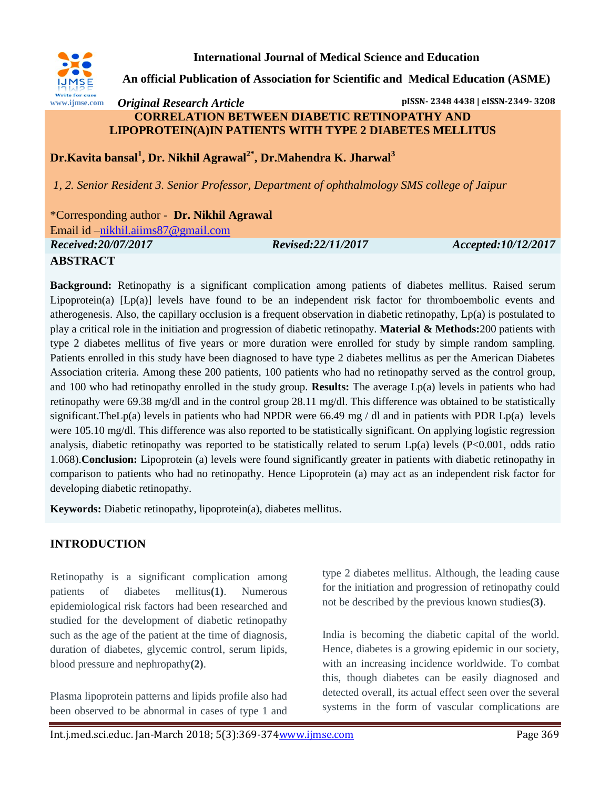

**International Journal of Medical Science and Education**

**An official Publication of Association for Scientific and Medical Education (ASME)**

### *Original Research Article* **pISSN- 2348 4438 | eISSN-2349- 3208 CORRELATION BETWEEN DIABETIC RETINOPATHY AND LIPOPROTEIN(A)IN PATIENTS WITH TYPE 2 DIABETES MELLITUS**

**Dr.Kavita bansal<sup>1</sup> , Dr. Nikhil Agrawal2\* , Dr.Mahendra K. Jharwal<sup>3</sup>**

*1, 2. Senior Resident 3. Senior Professor, Department of ophthalmology SMS college of Jaipur*

\*Corresponding author - **Dr. Nikhil Agrawal**

Email id [–nikhil.aiims87@gmail.com](mailto:nikhil.aiims87@gmail.com)

*Received:20/07/2017 Revised:22/11/2017 Accepted:10/12/2017*

## **ABSTRACT**

**Background:** Retinopathy is a significant complication among patients of diabetes mellitus. Raised serum Lipoprotein(a)  $[Lp(a)]$  levels have found to be an independent risk factor for thromboembolic events and atherogenesis. Also, the capillary occlusion is a frequent observation in diabetic retinopathy, Lp(a) is postulated to play a critical role in the initiation and progression of diabetic retinopathy. **Material & Methods:**200 patients with type 2 diabetes mellitus of five years or more duration were enrolled for study by simple random sampling. Patients enrolled in this study have been diagnosed to have type 2 diabetes mellitus as per the American Diabetes Association criteria. Among these 200 patients, 100 patients who had no retinopathy served as the control group, and 100 who had retinopathy enrolled in the study group. **Results:** The average Lp(a) levels in patients who had retinopathy were 69.38 mg/dl and in the control group 28.11 mg/dl. This difference was obtained to be statistically significant.TheLp(a) levels in patients who had NPDR were 66.49 mg / dl and in patients with PDR Lp(a) levels were 105.10 mg/dl. This difference was also reported to be statistically significant. On applying logistic regression analysis, diabetic retinopathy was reported to be statistically related to serum Lp(a) levels (P<0.001, odds ratio 1.068).**Conclusion:** Lipoprotein (a) levels were found significantly greater in patients with diabetic retinopathy in comparison to patients who had no retinopathy. Hence Lipoprotein (a) may act as an independent risk factor for developing diabetic retinopathy.

**Keywords:** Diabetic retinopathy, lipoprotein(a), diabetes mellitus.

# **INTRODUCTION**

Retinopathy is a significant complication among patients of diabetes mellitus**(1)**. Numerous epidemiological risk factors had been researched and studied for the development of diabetic retinopathy such as the age of the patient at the time of diagnosis, duration of diabetes, glycemic control, serum lipids, blood pressure and nephropathy**(2)**.

Plasma lipoprotein patterns and lipids profile also had been observed to be abnormal in cases of type 1 and type 2 diabetes mellitus. Although, the leading cause for the initiation and progression of retinopathy could not be described by the previous known studies**(3)**.

India is becoming the diabetic capital of the world. Hence, diabetes is a growing epidemic in our society, with an increasing incidence worldwide. To combat this, though diabetes can be easily diagnosed and detected overall, its actual effect seen over the several systems in the form of vascular complications are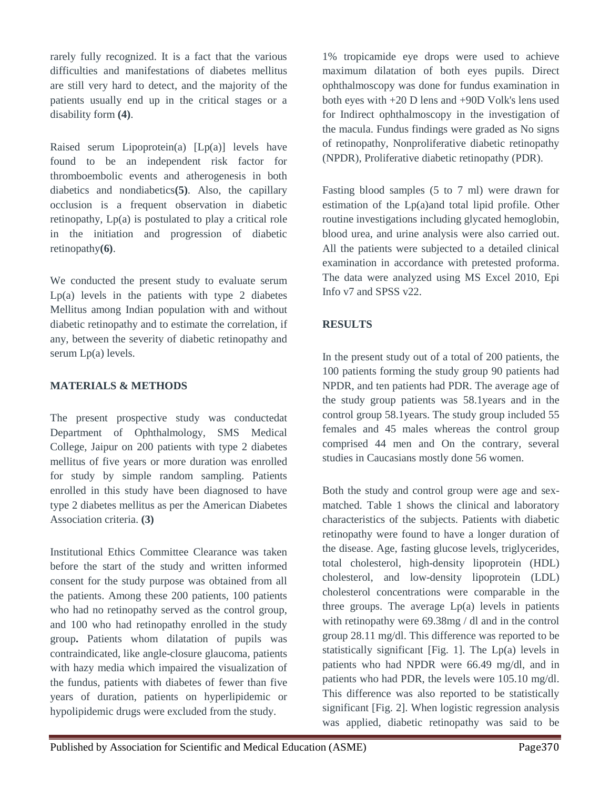rarely fully recognized. It is a fact that the various difficulties and manifestations of diabetes mellitus are still very hard to detect, and the majority of the patients usually end up in the critical stages or a disability form **(4)**.

Raised serum Lipoprotein(a)  $[Lp(a)]$  levels have found to be an independent risk factor for thromboembolic events and atherogenesis in both diabetics and nondiabetics**(5)**. Also, the capillary occlusion is a frequent observation in diabetic retinopathy, Lp(a) is postulated to play a critical role in the initiation and progression of diabetic retinopathy**(6)**.

We conducted the present study to evaluate serum Lp(a) levels in the patients with type 2 diabetes Mellitus among Indian population with and without diabetic retinopathy and to estimate the correlation, if any, between the severity of diabetic retinopathy and serum Lp(a) levels.

### **MATERIALS & METHODS**

The present prospective study was conductedat Department of Ophthalmology, SMS Medical College, Jaipur on 200 patients with type 2 diabetes mellitus of five years or more duration was enrolled for study by simple random sampling. Patients enrolled in this study have been diagnosed to have type 2 diabetes mellitus as per the American Diabetes Association criteria. **(3)**

Institutional Ethics Committee Clearance was taken before the start of the study and written informed consent for the study purpose was obtained from all the patients. Among these 200 patients, 100 patients who had no retinopathy served as the control group, and 100 who had retinopathy enrolled in the study group**.** Patients whom dilatation of pupils was contraindicated, like angle-closure glaucoma, patients with hazy media which impaired the visualization of the fundus, patients with diabetes of fewer than five years of duration, patients on hyperlipidemic or hypolipidemic drugs were excluded from the study.

1% tropicamide eye drops were used to achieve maximum dilatation of both eyes pupils. Direct ophthalmoscopy was done for fundus examination in both eyes with +20 D lens and +90D Volk's lens used for Indirect ophthalmoscopy in the investigation of the macula. Fundus findings were graded as No signs of retinopathy, Nonproliferative diabetic retinopathy (NPDR), Proliferative diabetic retinopathy (PDR).

Fasting blood samples (5 to 7 ml) were drawn for estimation of the Lp(a)and total lipid profile. Other routine investigations including glycated hemoglobin, blood urea, and urine analysis were also carried out. All the patients were subjected to a detailed clinical examination in accordance with pretested proforma. The data were analyzed using MS Excel 2010, Epi Info v7 and SPSS v22.

### **RESULTS**

In the present study out of a total of 200 patients, the 100 patients forming the study group 90 patients had NPDR, and ten patients had PDR. The average age of the study group patients was 58.1years and in the control group 58.1years. The study group included 55 females and 45 males whereas the control group comprised 44 men and On the contrary, several studies in Caucasians mostly done 56 women.

Both the study and control group were age and sexmatched. Table 1 shows the clinical and laboratory characteristics of the subjects. Patients with diabetic retinopathy were found to have a longer duration of the disease. Age, fasting glucose levels, triglycerides, total cholesterol, high-density lipoprotein (HDL) cholesterol, and low-density lipoprotein (LDL) cholesterol concentrations were comparable in the three groups. The average  $Lp(a)$  levels in patients with retinopathy were 69.38mg / dl and in the control group 28.11 mg/dl. This difference was reported to be statistically significant [Fig. 1]. The Lp(a) levels in patients who had NPDR were 66.49 mg/dl, and in patients who had PDR, the levels were 105.10 mg/dl. This difference was also reported to be statistically significant [Fig. 2]. When logistic regression analysis was applied, diabetic retinopathy was said to be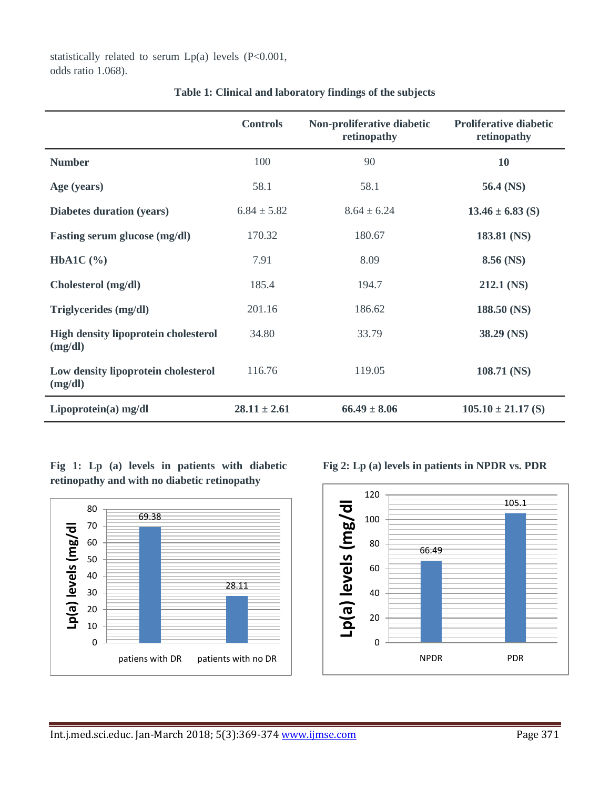statistically related to serum  $Lp(a)$  levels (P<0.001, odds ratio 1.068).

|                                                        | <b>Controls</b>  | Non-proliferative diabetic<br>retinopathy | <b>Proliferative diabetic</b><br>retinopathy |
|--------------------------------------------------------|------------------|-------------------------------------------|----------------------------------------------|
| <b>Number</b>                                          | 100              | 90                                        | 10                                           |
| Age (years)                                            | 58.1             | 58.1                                      | 56.4 (NS)                                    |
| Diabetes duration (years)                              | $6.84 \pm 5.82$  | $8.64 \pm 6.24$                           | $13.46 \pm 6.83$ (S)                         |
| <b>Fasting serum glucose (mg/dl)</b>                   | 170.32           | 180.67                                    | 183.81 (NS)                                  |
| HbA1C $(\% )$                                          | 7.91             | 8.09                                      | 8.56 (NS)                                    |
| Cholesterol (mg/dl)                                    | 185.4            | 194.7                                     | 212.1 (NS)                                   |
| Triglycerides (mg/dl)                                  | 201.16           | 186.62                                    | 188.50 (NS)                                  |
| <b>High density lipoprotein cholesterol</b><br>(mg/dl) | 34.80            | 33.79                                     | 38.29 (NS)                                   |
| Low density lipoprotein cholesterol<br>(mg/dl)         | 116.76           | 119.05                                    | 108.71 (NS)                                  |
| Lipoprotein(a) mg/dl                                   | $28.11 \pm 2.61$ | $66.49 \pm 8.06$                          | $105.10 \pm 21.17$ (S)                       |

**Table 1: Clinical and laboratory findings of the subjects**

**Fig 1: Lp (a) levels in patients with diabetic retinopathy and with no diabetic retinopathy**





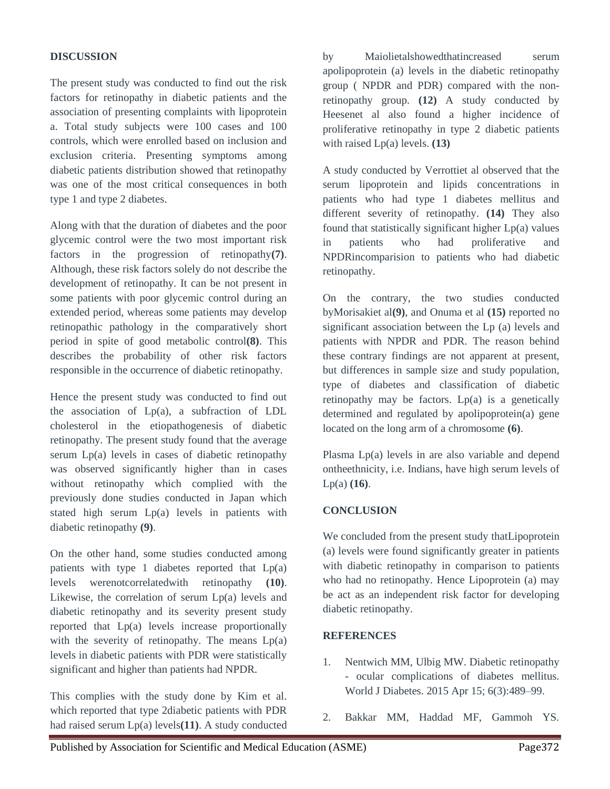### **DISCUSSION**

The present study was conducted to find out the risk factors for retinopathy in diabetic patients and the association of presenting complaints with lipoprotein a. Total study subjects were 100 cases and 100 controls, which were enrolled based on inclusion and exclusion criteria. Presenting symptoms among diabetic patients distribution showed that retinopathy was one of the most critical consequences in both type 1 and type 2 diabetes.

Along with that the duration of diabetes and the poor glycemic control were the two most important risk factors in the progression of retinopathy**(7)**. Although, these risk factors solely do not describe the development of retinopathy. It can be not present in some patients with poor glycemic control during an extended period, whereas some patients may develop retinopathic pathology in the comparatively short period in spite of good metabolic control**(8)**. This describes the probability of other risk factors responsible in the occurrence of diabetic retinopathy.

Hence the present study was conducted to find out the association of Lp(a), a subfraction of LDL cholesterol in the etiopathogenesis of diabetic retinopathy. The present study found that the average serum Lp(a) levels in cases of diabetic retinopathy was observed significantly higher than in cases without retinopathy which complied with the previously done studies conducted in Japan which stated high serum Lp(a) levels in patients with diabetic retinopathy **(9)**.

On the other hand, some studies conducted among patients with type 1 diabetes reported that  $Lp(a)$ levels werenotcorrelatedwith retinopathy **(10)**. Likewise, the correlation of serum Lp(a) levels and diabetic retinopathy and its severity present study reported that Lp(a) levels increase proportionally with the severity of retinopathy. The means  $Lp(a)$ levels in diabetic patients with PDR were statistically significant and higher than patients had NPDR.

This complies with the study done by Kim et al. which reported that type 2diabetic patients with PDR had raised serum Lp(a) levels**(11)**. A study conducted by Maiolietalshowedthatincreased serum apolipoprotein (a) levels in the diabetic retinopathy group ( NPDR and PDR) compared with the nonretinopathy group. **(12)** A study conducted by Heesenet al also found a higher incidence of proliferative retinopathy in type 2 diabetic patients with raised Lp(a) levels. **(13)**

A study conducted by Verrottiet al observed that the serum lipoprotein and lipids concentrations in patients who had type 1 diabetes mellitus and different severity of retinopathy. **(14)** They also found that statistically significant higher Lp(a) values in patients who had proliferative and NPDRincomparision to patients who had diabetic retinopathy.

On the contrary, the two studies conducted byMorisakiet al**(9)**, and Onuma et al **(15)** reported no significant association between the Lp (a) levels and patients with NPDR and PDR. The reason behind these contrary findings are not apparent at present, but differences in sample size and study population, type of diabetes and classification of diabetic retinopathy may be factors. Lp(a) is a genetically determined and regulated by apolipoprotein(a) gene located on the long arm of a chromosome **(6)**.

Plasma Lp(a) levels in are also variable and depend ontheethnicity, i.e. Indians, have high serum levels of Lp(a) **(16)**.

### **CONCLUSION**

We concluded from the present study thatLipoprotein (a) levels were found significantly greater in patients with diabetic retinopathy in comparison to patients who had no retinopathy. Hence Lipoprotein (a) may be act as an independent risk factor for developing diabetic retinopathy.

### **REFERENCES**

- 1. Nentwich MM, Ulbig MW. Diabetic retinopathy - ocular complications of diabetes mellitus. World J Diabetes. 2015 Apr 15; 6(3):489–99.
- 2. Bakkar MM, Haddad MF, Gammoh YS.